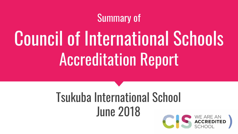#### Summary of

# Council of International Schools Accreditation Report

## Tsukuba International School June 2018

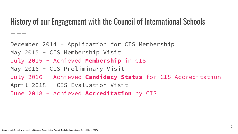#### History of our Engagement with the Council of International Schools

December 2014 - Application for CIS Membership May 2015 - CIS Membership Visit July 2015 - Achieved **Membership** in CIS May 2016 - CIS Preliminary Visit July 2016 - Achieved **Candidacy Status** for CIS Accreditation April 2018 - CIS Evaluation Visit June 2018 - Achieved **Accreditation** by CIS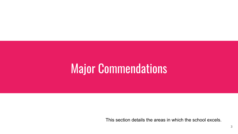## **Major Commendations**

This section details the areas in which the school excels.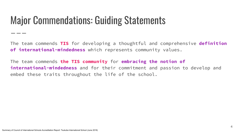#### Major Commendations: Guiding Statements

The team commends **TIS** for developing a thoughtful and comprehensive **definition of international-mindedness** which represents community values.

The team commends **the TIS community** for **embracing the notion of international-mindedness** and for their commitment and passion to develop and embed these traits throughout the life of the school.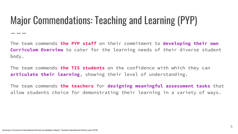### Major Commendations: Teaching and Learning (PYP)

The team commends **the PYP staff** on their commitment to **developing their own Curriculum Overview** to cater for the learning needs of their diverse student body.

The team commends **the TIS students** on the confidence with which they can **articulate their learning**, showing their level of understanding.

The team commends **the teachers** for **designing meaningful assessment tasks** that allow students choice for demonstrating their learning in a variety of ways.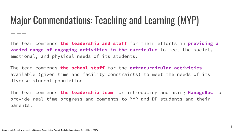#### Major Commendations: Teaching and Learning (MYP)

The team commends **the leadership and staff** for their efforts in **providing a varied range of engaging activities in the curriculum** to meet the social, emotional, and physical needs of its students.

The team commends **the school staff** for the **extracurricular activities** available (given time and facility constraints) to meet the needs of its diverse student population.

The team commends **the leadership team** for introducing and using **ManageBac** to provide real-time progress and comments to MYP and DP students and their parents.

- - -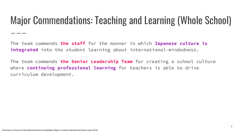#### Major Commendations: Teaching and Learning (Whole School)

The team commends **the staff** for the manner in which **Japanese culture is integrated** into the student learning about international-mindedness.

The team commends **the Senior Leadership Team** for creating a school culture where **continuing professional learning** for teachers is able to drive curriculum development.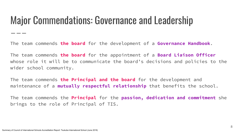#### Major Commendations: Governance and Leadership

The team commends **the board** for the development of a **Governance Handbook**.

The team commends **the board** for the appointment of a **Board Liaison Officer** whose role it will be to communicate the board's decisions and policies to the wider school community.

The team commends **the Principal and the board** for the development and maintenance of a **mutually respectful relationship** that benefits the school.

The team commends the **Principal** for the **passion, dedication and commitment** she brings to the role of Principal of TIS.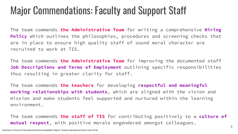#### Major Commendations: Faculty and Support Staff

The team commends **the Administrative Team** for writing a comprehensive **Hiring Policy** which outlines the philosophies, procedures and screening checks that are in place to ensure high quality staff of sound moral character are recruited to work at TIS.

The team commends **the Administrative Team** for improving the documented staff **Job Descriptions and Terms of Employment** outlining specific responsibilities thus resulting in greater clarity for staff.

The team commends **the teachers** for developing **respectful and meaningful working relationships with students**, which are aligned with the vision and mission and make students feel supported and nurtured within the learning environment.

The team commends **the staff of TIS** for contributing positively to a **culture of mutual respect**, with positive morale engendered amongst colleagues.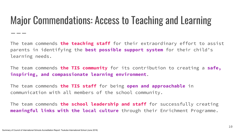#### Major Commendations: Access to Teaching and Learning

The team commends **the teaching staff** for their extraordinary effort to assist parents in identifying the **best possible support system** for their child's learning needs.

The team commends **the TIS community** for its contribution to creating a **safe, inspiring, and compassionate learning environment**.

The team commends **the TIS staff** for being **open and approachable** in communication with all members of the school community.

The team commends **the school leadership and staff** for successfully creating **meaningful links with the local culture** through their Enrichment Programme.

\_\_\_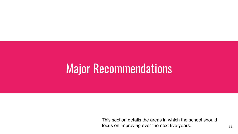## Major Recommendations

This section details the areas in which the school should focus on improving over the next five years.  $11$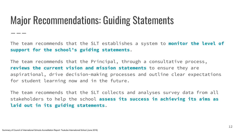#### Major Recommendations: Guiding Statements

The team recommends that the SLT establishes a system to **monitor the level of support for the school's guiding statements**.

The team recommends that the Principal, through a consultative process, **reviews the current vision and mission statements** to ensure they are aspirational, drive decision-making processes and outline clear expectations for student learning now and in the future.

The team recommends that the SLT collects and analyses survey data from all stakeholders to help the school **assess its success in achieving its aims as laid out in its guiding statements**.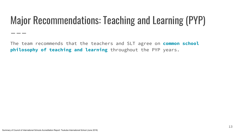### Major Recommendations: Teaching and Learning (PYP)

The team recommends that the teachers and SLT agree on **common school philosophy of teaching and learning** throughout the PYP years.

- - -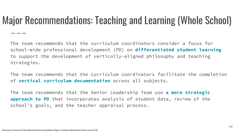#### Major Recommendations: Teaching and Learning (Whole School)

The team recommends that the curriculum coordinators consider a focus for school-wide professional development (PD) on **differentiated student learning** to support the development of vertically-aligned philosophy and teaching strategies.

The team recommends that the curriculum coordinators facilitate the completion of **vertical curriculum documentation** across all subjects.

The team recommends that the Senior Leadership Team use **a more strategic approach to PD** that incorporates analysis of student data, review of the school's goals, and the teacher appraisal process.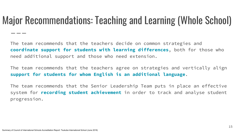#### Major Recommendations: Teaching and Learning (Whole School)

The team recommends that the teachers decide on common strategies and **coordinate support for students with learning differences**, both for those who need additional support and those who need extension.

The team recommends that the teachers agree on strategies and vertically align **support for students for whom English is an additional language**.

The team recommends that the Senior Leadership Team puts in place an effective system for **recording student achievement** in order to track and analyse student progression.

\_ \_ \_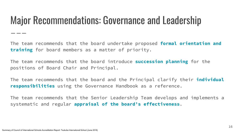#### Major Recommendations: Governance and Leadership

The team recommends that the board undertake proposed **formal orientation and training** for board members as a matter of priority.

The team recommends that the board introduce **succession planning** for the positions of Board Chair and Principal.

The team recommends that the board and the Principal clarify their **individual responsibilities** using the Governance Handbook as a reference.

The team recommends that the Senior Leadership Team develops and implements a systematic and regular **appraisal of the board's effectiveness**.

\_ \_ \_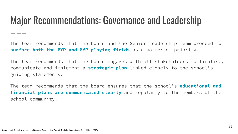#### Major Recommendations: Governance and Leadership

The team recommends that the board and the Senior Leadership Team proceed to **surface both the PYP and MYP playing fields** as a matter of priority.

The team recommends that the board engages with all stakeholders to finalise, communicate and implement a **strategic plan** linked closely to the school's guiding statements.

The team recommends that the board ensures that the school's **educational and financial plans are communicated clearly** and regularly to the members of the school community.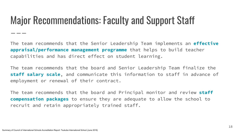#### Major Recommendations: Faculty and Support Staff

The team recommends that the Senior Leadership Team implements an **effective appraisal/performance management programme** that helps to build teacher capabilities and has direct effect on student learning.

The team recommends that the board and Senior Leadership Team finalize the **staff salary scale**, and communicate this information to staff in advance of employment or renewal of their contract.

The team recommends that the board and Principal monitor and review **staff compensation packages** to ensure they are adequate to allow the school to recruit and retain appropriately trained staff.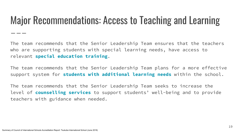#### Major Recommendations: Access to Teaching and Learning

The team recommends that the Senior Leadership Team ensures that the teachers who are supporting students with special learning needs, have access to relevant **special education training**.

The team recommends that the Senior Leadership Team plans for a more effective support system for **students with additional learning needs** within the school.

The team recommends that the Senior Leadership Team seeks to increase the level of **counselling services** to support students' well-being and to provide teachers with guidance when needed.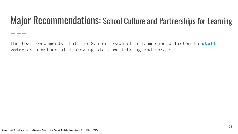#### Major Recommendations: School Culture and Partnerships for Learning

The team recommends that the Senior Leadership Team should listen to **staff voice** as a method of improving staff well-being and morale.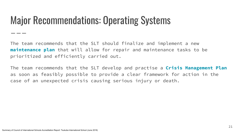#### Major Recommendations: Operating Systems

The team recommends that the SLT should finalize and implement a new **maintenance plan** that will allow for repair and maintenance tasks to be prioritized and efficiently carried out.

The team recommends that the SLT develop and practise a **Crisis Management Plan** as soon as feasibly possible to provide a clear framework for action in the case of an unexpected crisis causing serious injury or death.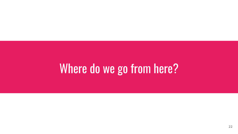## Where do we go from here?